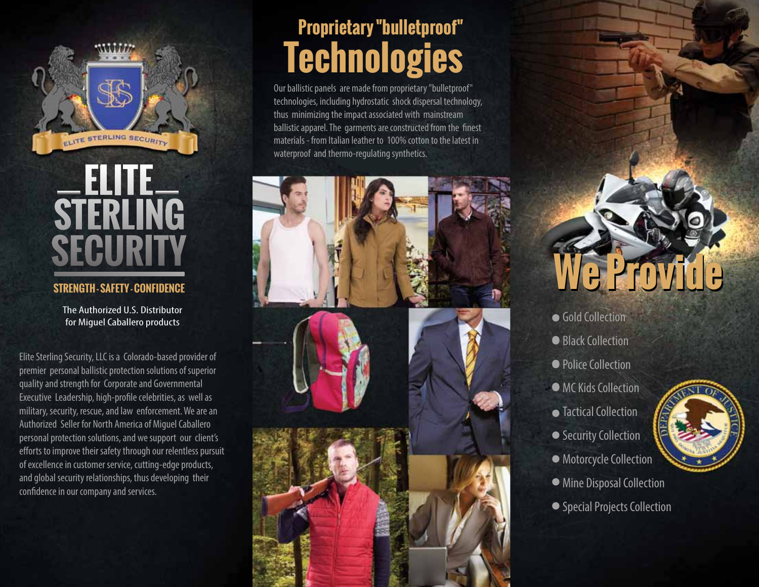

# ELITE<br>STERLING **SECURITY**

#### **STRENGTH - SAFETY - CONFIDENCE**

The Authorized U.S. Distributor for Miguel Caballero products

Elite Sterling Security, LLC is a Colorado-based provider of premier personal ballistic protection solutions of superior quality and strength for Corporate and Governmental Executive Leadership, high-profile celebrities, as well as military, security, rescue, and law enforcement. We are an Authorized Seller for North America of Miguel Caballero personal protection solutions, and we support our client's efforts to improve their safety through our relentless pursuit of excellence in customer service, cutting-edge products, and global security relationships, thus developing their confidence in our company and services.

## **Proprietary "bulletproof" Technologies**

Our ballistic panels are made from proprietary "bulletproof" technologies, including hydrostatic shock dispersal technology, thus minimizing the impact associated with mainstream ballistic apparel. The garments are constructed from the finest materials - from Italian leather to 100% cotton to the latest in waterproof and thermo-regulating synthetics.



# **We Provide We Provide**

- Gold Collection
- Black Collection
- Police Collection
- MC Kids Collection
- Tactical Collection
- Security Collection
- Motorcycle Collection
- Mine Disposal Collection
- Special Projects Collection